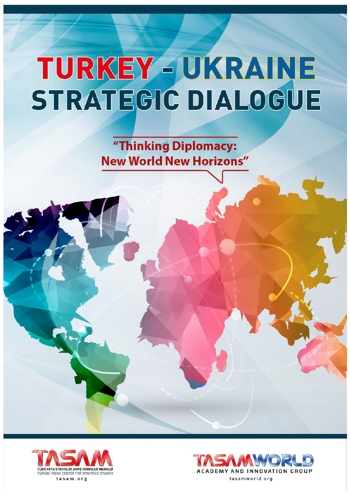"Thinking Diplomacy: **New World New Horizons"** 



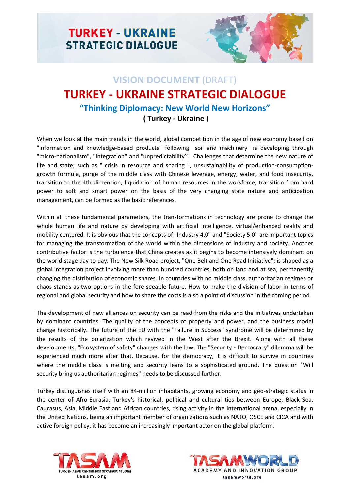

## **VISION DOCUMENT** (DRAFT) **TURKEY - UKRAINE STRATEGIC DIALOGUE "Thinking Diplomacy: New World New Horizons" ( Turkey - Ukraine )**

When we look at the main trends in the world, global competition in the age of new economy based on "information and knowledge-based products" following "soil and machinery" is developing through "micro-nationalism", "integration" and "unpredictability''. Challenges that determine the new nature of life and state; such as " crisis in resource and sharing ", unsustainability of production-consumptiongrowth formula, purge of the middle class with Chinese leverage, energy, water, and food insecurity, transition to the 4th dimension, liquidation of human resources in the workforce, transition from hard power to soft and smart power on the basis of the very changing state nature and anticipation management, can be formed as the basic references.

Within all these fundamental parameters, the transformations in technology are prone to change the whole human life and nature by developing with artificial intelligence, virtual/enhanced reality and mobility centered. It is obvious that the concepts of "Industry 4.0" and "Society 5.0" are important topics for managing the transformation of the world within the dimensions of industry and society. Another contributive factor is the turbulence that China creates as it begins to become intensively dominant on the world stage day to day. The New Silk Road project, "One Belt and One Road Initiative"; is shaped as a global integration project involving more than hundred countries, both on land and at sea, permanently changing the distribution of economic shares. In countries with no middle class, authoritarian regimes or chaos stands as two options in the fore-seeable future. How to make the division of labor in terms of regional and global security and how to share the costs is also a point of discussion in the coming period.

The development of new alliances on security can be read from the risks and the initiatives undertaken by dominant countries. The quality of the concepts of property and power, and the business model change historically. The future of the EU with the "Failure in Success" syndrome will be determined by the results of the polarization which revived in the West after the Brexit. Along with all these developments, "Ecosystem of safety" changes with the law. The "Security - Democracy" dilemma will be experienced much more after that. Because, for the democracy, it is difficult to survive in countries where the middle class is melting and security leans to a sophisticated ground. The question "Will security bring us authoritarian regimes" needs to be discussed further.

Turkey distinguishes itself with an 84-million inhabitants, growing economy and geo-strategic status in the center of Afro-Eurasia. Turkey's historical, political and cultural ties between Europe, Black Sea, Caucasus, Asia, Middle East and African countries, rising activity in the international arena, especially in the United Nations, being an important member of organizations such as NATO, OSCE and CICA and with active foreign policy, it has become an increasingly important actor on the global platform.



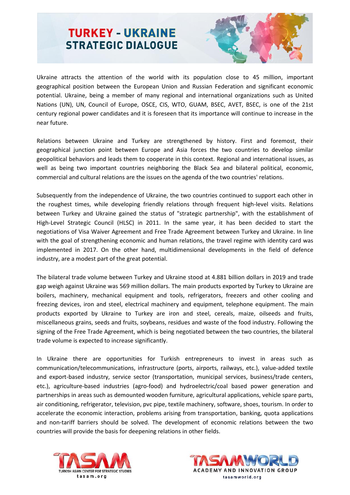

Ukraine attracts the attention of the world with its population close to 45 million, important geographical position between the European Union and Russian Federation and significant economic potential. Ukraine, being a member of many regional and international organizations such as United Nations (UN), UN, Council of Europe, OSCE, CIS, WTO, GUAM, BSEC, AVET, BSEC, is one of the 21st century regional power candidates and it is foreseen that its importance will continue to increase in the near future.

Relations between Ukraine and Turkey are strengthened by history. First and foremost, their geographical junction point between Europe and Asia forces the two countries to develop similar geopolitical behaviors and leads them to cooperate in this context. Regional and international issues, as well as being two important countries neighboring the Black Sea and bilateral political, economic, commercial and cultural relations are the issues on the agenda of the two countries' relations.

Subsequently from the independence of Ukraine, the two countries continued to support each other in the roughest times, while developing friendly relations through frequent high-level visits. Relations between Turkey and Ukraine gained the status of "strategic partnership", with the establishment of High-Level Strategic Council (HLSC) in 2011. In the same year, it has been decided to start the negotiations of Visa Waiver Agreement and Free Trade Agreement between Turkey and Ukraine. In line with the goal of strengthening economic and human relations, the travel regime with identity card was implemented in 2017. On the other hand, multidimensional developments in the field of defence industry, are a modest part of the great potential.

The bilateral trade volume between Turkey and Ukraine stood at 4.881 billion dollars in 2019 and trade gap weigh against Ukraine was 569 million dollars. The main products exported by Turkey to Ukraine are boilers, machinery, mechanical equipment and tools, refrigerators, freezers and other cooling and freezing devices, iron and steel, electrical machinery and equipment, telephone equipment. The main products exported by Ukraine to Turkey are iron and steel, cereals, maize, oilseeds and fruits, miscellaneous grains, seeds and fruits, soybeans, residues and waste of the food industry. Following the signing of the Free Trade Agreement, which is being negotiated between the two countries, the bilateral trade volume is expected to increase significantly.

In Ukraine there are opportunities for Turkish entrepreneurs to invest in areas such as communication/telecommunications, infrastructure (ports, airports, railways, etc.), value-added textile and export-based industry, service sector (transportation, municipal services, business/trade centers, etc.), agriculture-based industries (agro-food) and hydroelectric/coal based power generation and partnerships in areas such as demounted wooden furniture, agricultural applications, vehicle spare parts, air conditioning, refrigerator, television, pvc pipe, textile machinery, software, shoes, tourism. In order to accelerate the economic interaction, problems arising from transportation, banking, quota applications and non-tariff barriers should be solved. The development of economic relations between the two countries will provide the basis for deepening relations in other fields.



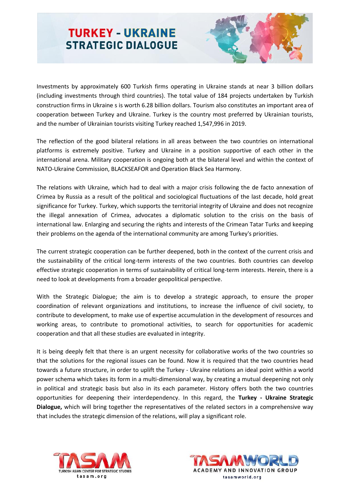

Investments by approximately 600 Turkish firms operating in Ukraine stands at near 3 billion dollars (including investments through third countries). The total value of 184 projects undertaken by Turkish construction firms in Ukraine s is worth 6.28 billion dollars. Tourism also constitutes an important area of cooperation between Turkey and Ukraine. Turkey is the country most preferred by Ukrainian tourists, and the number of Ukrainian tourists visiting Turkey reached 1,547,996 in 2019.

The reflection of the good bilateral relations in all areas between the two countries on international platforms is extremely positive. Turkey and Ukraine in a position supportive of each other in the international arena. Military cooperation is ongoing both at the bilateral level and within the context of NATO-Ukraine Commission, BLACKSEAFOR and Operation Black Sea Harmony.

The relations with Ukraine, which had to deal with a major crisis following the de facto annexation of Crimea by Russia as a result of the political and sociological fluctuations of the last decade, hold great significance for Turkey. Turkey, which supports the territorial integrity of Ukraine and does not recognize the illegal annexation of Crimea, advocates a diplomatic solution to the crisis on the basis of international law. Enlarging and securing the rights and interests of the Crimean Tatar Turks and keeping their problems on the agenda of the international community are among Turkey's priorities.

The current strategic cooperation can be further deepened, both in the context of the current crisis and the sustainability of the critical long-term interests of the two countries. Both countries can develop effective strategic cooperation in terms of sustainability of critical long-term interests. Herein, there is a need to look at developments from a broader geopolitical perspective.

With the Strategic Dialogue; the aim is to develop a strategic approach, to ensure the proper coordination of relevant organizations and institutions, to increase the influence of civil society, to contribute to development, to make use of expertise accumulation in the development of resources and working areas, to contribute to promotional activities, to search for opportunities for academic cooperation and that all these studies are evaluated in integrity.

It is being deeply felt that there is an urgent necessity for collaborative works of the two countries so that the solutions for the regional issues can be found. Now it is required that the two countries head towards a future structure, in order to uplift the Turkey - Ukraine relations an ideal point within a world power schema which takes its form in a multi-dimensional way, by creating a mutual deepening not only in political and strategic basis but also in its each parameter. History offers both the two countries opportunities for deepening their interdependency. In this regard, the **Turkey - Ukraine Strategic Dialogue,** which will bring together the representatives of the related sectors in a comprehensive way that includes the strategic dimension of the relations, will play a significant role.



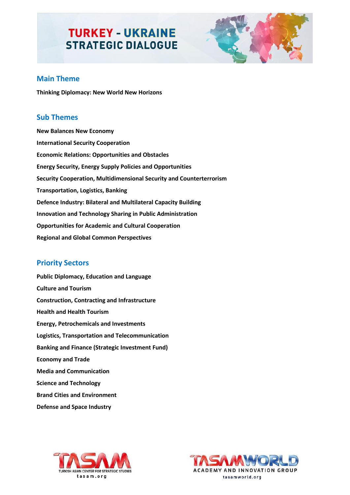

## **Main Theme**

**Thinking Diplomacy: New World New Horizons**

### **Sub Themes**

**New Balances New Economy International Security Cooperation Economic Relations: Opportunities and Obstacles Energy Security, Energy Supply Policies and Opportunities Security Cooperation, Multidimensional Security and Counterterrorism Transportation, Logistics, Banking Defence Industry: Bilateral and Multilateral Capacity Building Innovation and Technology Sharing in Public Administration Opportunities for Academic and Cultural Cooperation Regional and Global Common Perspectives**

## **Priority Sectors**

**Public Diplomacy, Education and Language Culture and Tourism Construction, Contracting and Infrastructure Health and Health Tourism Energy, Petrochemicals and Investments Logistics, Transportation and Telecommunication Banking and Finance (Strategic Investment Fund) Economy and Trade Media and Communication Science and Technology Brand Cities and Environment Defense and Space Industry**